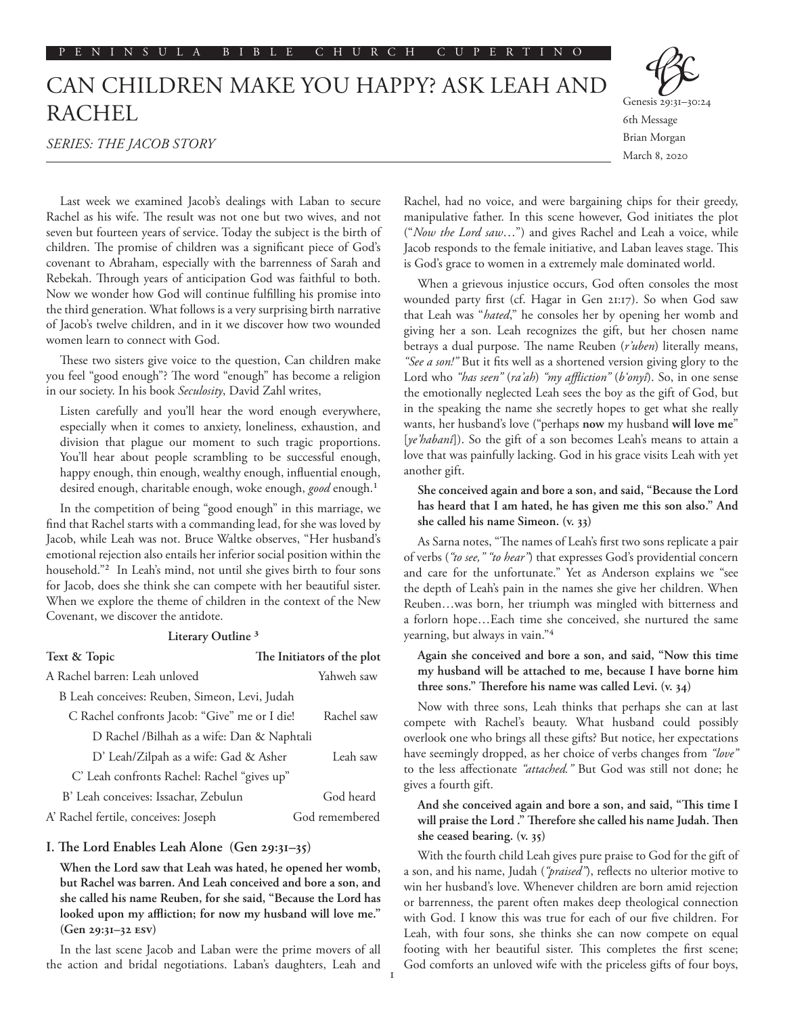# CAN CHILDREN MAKE YOU HAPPY? ASK LEAH AND RACHEL

*SERIES: THE JACOB STORY*



March 8, 2020

Last week we examined Jacob's dealings with Laban to secure Rachel as his wife. The result was not one but two wives, and not seven but fourteen years of service. Today the subject is the birth of children. The promise of children was a significant piece of God's covenant to Abraham, especially with the barrenness of Sarah and Rebekah. Through years of anticipation God was faithful to both. Now we wonder how God will continue fulfilling his promise into the third generation. What follows is a very surprising birth narrative of Jacob's twelve children, and in it we discover how two wounded women learn to connect with God.

These two sisters give voice to the question, Can children make you feel "good enough"? The word "enough" has become a religion in our society. In his book *Seculosity*, David Zahl writes,

Listen carefully and you'll hear the word enough everywhere, especially when it comes to anxiety, loneliness, exhaustion, and division that plague our moment to such tragic proportions. You'll hear about people scrambling to be successful enough, happy enough, thin enough, wealthy enough, influential enough, desired enough, charitable enough, woke enough, *good* enough.1

In the competition of being "good enough" in this marriage, we find that Rachel starts with a commanding lead, for she was loved by Jacob, while Leah was not. Bruce Waltke observes, "Her husband's emotional rejection also entails her inferior social position within the household."2 In Leah's mind, not until she gives birth to four sons for Jacob, does she think she can compete with her beautiful sister. When we explore the theme of children in the context of the New Covenant, we discover the antidote.

#### **Literary Outline 3**

| Text & Topic                                  | The Initiators of the plot |
|-----------------------------------------------|----------------------------|
| A Rachel barren: Leah unloved                 | Yahweh saw                 |
| B Leah conceives: Reuben, Simeon, Levi, Judah |                            |
| C Rachel confronts Jacob: "Give" me or I die! | Rachel saw                 |
| D Rachel /Bilhah as a wife: Dan & Naphtali    |                            |
| D' Leah/Zilpah as a wife: Gad & Asher         | Leah saw                   |
| C' Leah confronts Rachel: Rachel "gives up"   |                            |
| B' Leah conceives: Issachar, Zebulun          | God heard                  |
| A' Rachel fertile, conceives: Joseph          | God remembered             |

# **I. The Lord Enables Leah Alone (Gen 29:31–35)**

**When the Lord saw that Leah was hated, he opened her womb, but Rachel was barren. And Leah conceived and bore a son, and she called his name Reuben, for she said, "Because the Lord has looked upon my affliction; for now my husband will love me." (Gen 29:31–32 ESV)**

In the last scene Jacob and Laban were the prime movers of all the action and bridal negotiations. Laban's daughters, Leah and

Rachel, had no voice, and were bargaining chips for their greedy, manipulative father. In this scene however, God initiates the plot ("*Now the Lord saw*…") and gives Rachel and Leah a voice, while Jacob responds to the female initiative, and Laban leaves stage. This is God's grace to women in a extremely male dominated world.

When a grievous injustice occurs, God often consoles the most wounded party first (cf. Hagar in Gen 21:17). So when God saw that Leah was "*hated*," he consoles her by opening her womb and giving her a son. Leah recognizes the gift, but her chosen name betrays a dual purpose. The name Reuben (*r'uben*) literally means, *"See a son!"* But it fits well as a shortened version giving glory to the Lord who *"has seen"* (*ra'ah*) *"my affliction"* (*b'onyî*). So, in one sense the emotionally neglected Leah sees the boy as the gift of God, but in the speaking the name she secretly hopes to get what she really wants, her husband's love ("perhaps **now** my husband **will love me**" [*ye'habanî*]). So the gift of a son becomes Leah's means to attain a love that was painfully lacking. God in his grace visits Leah with yet another gift.

**She conceived again and bore a son, and said, "Because the Lord has heard that I am hated, he has given me this son also." And she called his name Simeon. (v. 33)**

As Sarna notes, "The names of Leah's first two sons replicate a pair of verbs (*"to see," "to hear"*) that expresses God's providential concern and care for the unfortunate." Yet as Anderson explains we "see the depth of Leah's pain in the names she give her children. When Reuben…was born, her triumph was mingled with bitterness and a forlorn hope…Each time she conceived, she nurtured the same yearning, but always in vain."4

**Again she conceived and bore a son, and said, "Now this time my husband will be attached to me, because I have borne him three sons." Therefore his name was called Levi. (v. 34)**

Now with three sons, Leah thinks that perhaps she can at last compete with Rachel's beauty. What husband could possibly overlook one who brings all these gifts? But notice, her expectations have seemingly dropped, as her choice of verbs changes from *"love"*  to the less affectionate *"attached."* But God was still not done; he gives a fourth gift.

# **And she conceived again and bore a son, and said, "This time I will praise the Lord ." Therefore she called his name Judah. Then she ceased bearing. (v. 35)**

With the fourth child Leah gives pure praise to God for the gift of a son, and his name, Judah (*"praised"*), reflects no ulterior motive to win her husband's love. Whenever children are born amid rejection or barrenness, the parent often makes deep theological connection with God. I know this was true for each of our five children. For Leah, with four sons, she thinks she can now compete on equal footing with her beautiful sister. This completes the first scene; God comforts an unloved wife with the priceless gifts of four boys,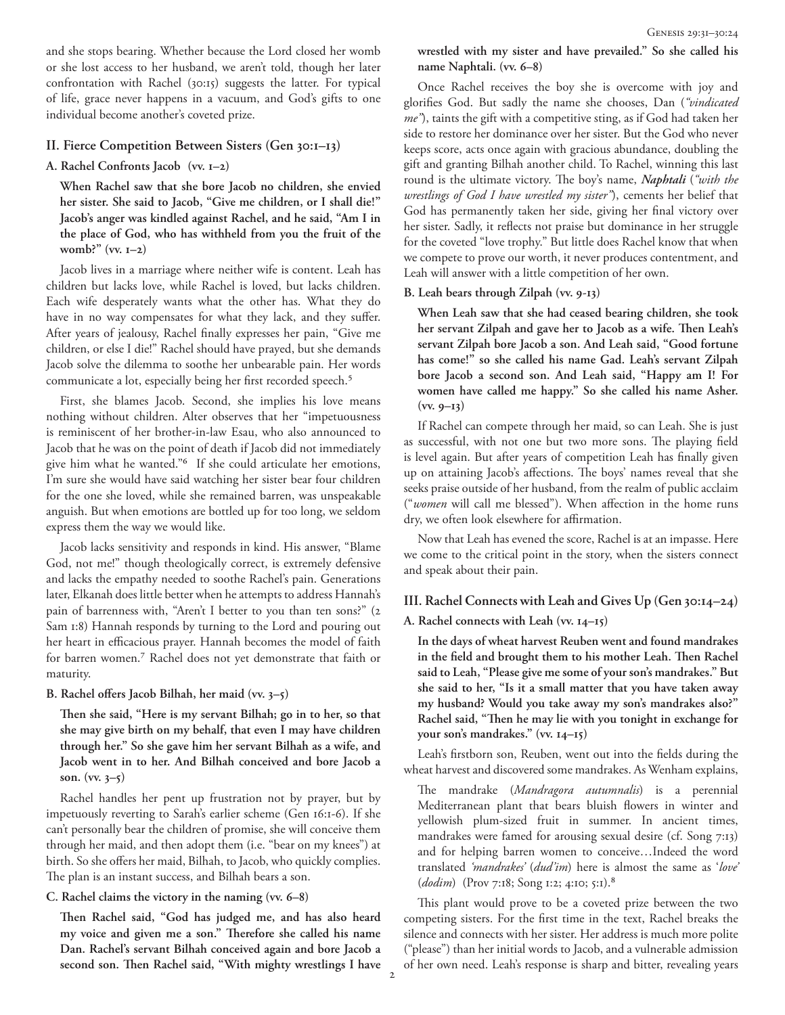and she stops bearing. Whether because the Lord closed her womb or she lost access to her husband, we aren't told, though her later confrontation with Rachel (30:15) suggests the latter. For typical of life, grace never happens in a vacuum, and God's gifts to one individual become another's coveted prize.

#### **II. Fierce Competition Between Sisters (Gen 30:1–13)**

#### **A. Rachel Confronts Jacob (vv. 1–2)**

**When Rachel saw that she bore Jacob no children, she envied her sister. She said to Jacob, "Give me children, or I shall die!" Jacob's anger was kindled against Rachel, and he said, "Am I in the place of God, who has withheld from you the fruit of the womb?" (vv. 1–2)**

Jacob lives in a marriage where neither wife is content. Leah has children but lacks love, while Rachel is loved, but lacks children. Each wife desperately wants what the other has. What they do have in no way compensates for what they lack, and they suffer. After years of jealousy, Rachel finally expresses her pain, "Give me children, or else I die!" Rachel should have prayed, but she demands Jacob solve the dilemma to soothe her unbearable pain. Her words communicate a lot, especially being her first recorded speech.<sup>5</sup>

First, she blames Jacob. Second, she implies his love means nothing without children. Alter observes that her "impetuousness is reminiscent of her brother-in-law Esau, who also announced to Jacob that he was on the point of death if Jacob did not immediately give him what he wanted."6 If she could articulate her emotions, I'm sure she would have said watching her sister bear four children for the one she loved, while she remained barren, was unspeakable anguish. But when emotions are bottled up for too long, we seldom express them the way we would like.

Jacob lacks sensitivity and responds in kind. His answer, "Blame God, not me!" though theologically correct, is extremely defensive and lacks the empathy needed to soothe Rachel's pain. Generations later, Elkanah does little better when he attempts to address Hannah's pain of barrenness with, "Aren't I better to you than ten sons?" (2 Sam 1:8) Hannah responds by turning to the Lord and pouring out her heart in efficacious prayer. Hannah becomes the model of faith for barren women.7 Rachel does not yet demonstrate that faith or maturity.

## **B. Rachel offers Jacob Bilhah, her maid (vv. 3–5)**

**Then she said, "Here is my servant Bilhah; go in to her, so that she may give birth on my behalf, that even I may have children through her." So she gave him her servant Bilhah as a wife, and Jacob went in to her. And Bilhah conceived and bore Jacob a son. (vv. 3–5)**

Rachel handles her pent up frustration not by prayer, but by impetuously reverting to Sarah's earlier scheme (Gen 16:1-6). If she can't personally bear the children of promise, she will conceive them through her maid, and then adopt them (i.e. "bear on my knees") at birth. So she offers her maid, Bilhah, to Jacob, who quickly complies. The plan is an instant success, and Bilhah bears a son.

# **C. Rachel claims the victory in the naming (vv. 6–8)**

**Then Rachel said, "God has judged me, and has also heard my voice and given me a son." Therefore she called his name Dan. Rachel's servant Bilhah conceived again and bore Jacob a second son. Then Rachel said, "With mighty wrestlings I have**  **wrestled with my sister and have prevailed." So she called his name Naphtali. (vv. 6–8)**

Once Rachel receives the boy she is overcome with joy and glorifies God. But sadly the name she chooses, Dan (*"vindicated me"*), taints the gift with a competitive sting, as if God had taken her side to restore her dominance over her sister. But the God who never keeps score, acts once again with gracious abundance, doubling the gift and granting Bilhah another child. To Rachel, winning this last round is the ultimate victory. The boy's name, *Naphtali* (*"with the wrestlings of God I have wrestled my sister"*), cements her belief that God has permanently taken her side, giving her final victory over her sister. Sadly, it reflects not praise but dominance in her struggle for the coveted "love trophy." But little does Rachel know that when we compete to prove our worth, it never produces contentment, and Leah will answer with a little competition of her own.

## **B. Leah bears through Zilpah (vv. 9-13)**

**When Leah saw that she had ceased bearing children, she took her servant Zilpah and gave her to Jacob as a wife. Then Leah's servant Zilpah bore Jacob a son. And Leah said, "Good fortune has come!" so she called his name Gad. Leah's servant Zilpah bore Jacob a second son. And Leah said, "Happy am I! For women have called me happy." So she called his name Asher. (vv. 9–13)**

If Rachel can compete through her maid, so can Leah. She is just as successful, with not one but two more sons. The playing field is level again. But after years of competition Leah has finally given up on attaining Jacob's affections. The boys' names reveal that she seeks praise outside of her husband, from the realm of public acclaim ("*women* will call me blessed"). When affection in the home runs dry, we often look elsewhere for affirmation.

Now that Leah has evened the score, Rachel is at an impasse. Here we come to the critical point in the story, when the sisters connect and speak about their pain.

# **III. Rachel Connects with Leah and Gives Up (Gen 30:14–24)**

## **A. Rachel connects with Leah (vv. 14–15)**

**In the days of wheat harvest Reuben went and found mandrakes in the field and brought them to his mother Leah. Then Rachel said to Leah, "Please give me some of your son's mandrakes." But she said to her, "Is it a small matter that you have taken away my husband? Would you take away my son's mandrakes also?" Rachel said, "Then he may lie with you tonight in exchange for your son's mandrakes." (vv. 14–15)**

Leah's firstborn son, Reuben, went out into the fields during the wheat harvest and discovered some mandrakes. As Wenham explains,

The mandrake (*Mandragora autumnalis*) is a perennial Mediterranean plant that bears bluish flowers in winter and yellowish plum-sized fruit in summer. In ancient times, mandrakes were famed for arousing sexual desire (cf. Song 7:13) and for helping barren women to conceive…Indeed the word translated *'mandrakes'* (*dud'im*) here is almost the same as '*love'*  (*dodim*) (Prov 7:18; Song 1:2; 4:10; 5:1).8

This plant would prove to be a coveted prize between the two competing sisters. For the first time in the text, Rachel breaks the silence and connects with her sister. Her address is much more polite ("please") than her initial words to Jacob, and a vulnerable admission of her own need. Leah's response is sharp and bitter, revealing years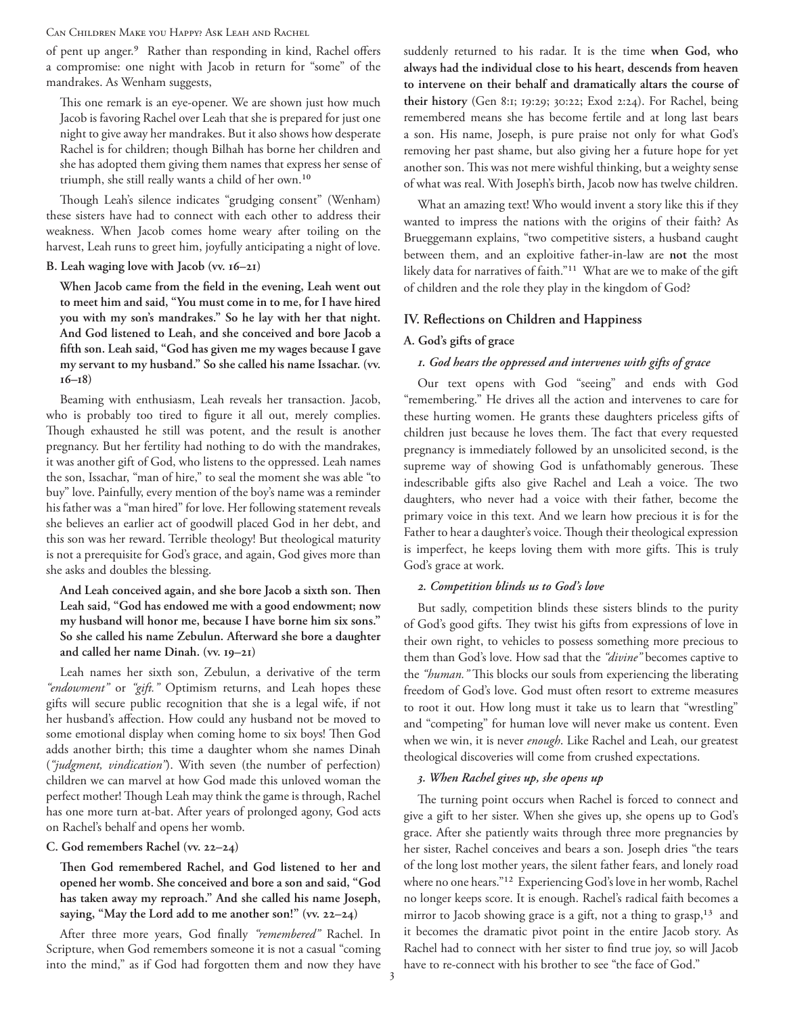Can Children Make you Happy? Ask Leah and Rachel

of pent up anger.<sup>9</sup> Rather than responding in kind, Rachel offers a compromise: one night with Jacob in return for "some" of the mandrakes. As Wenham suggests,

This one remark is an eye-opener. We are shown just how much Jacob is favoring Rachel over Leah that she is prepared for just one night to give away her mandrakes. But it also shows how desperate Rachel is for children; though Bilhah has borne her children and she has adopted them giving them names that express her sense of triumph, she still really wants a child of her own.10

Though Leah's silence indicates "grudging consent" (Wenham) these sisters have had to connect with each other to address their weakness. When Jacob comes home weary after toiling on the harvest, Leah runs to greet him, joyfully anticipating a night of love.

#### **B. Leah waging love with Jacob (vv. 16–21)**

**When Jacob came from the field in the evening, Leah went out to meet him and said, "You must come in to me, for I have hired you with my son's mandrakes." So he lay with her that night. And God listened to Leah, and she conceived and bore Jacob a fifth son. Leah said, "God has given me my wages because I gave my servant to my husband." So she called his name Issachar. (vv. 16–18)**

Beaming with enthusiasm, Leah reveals her transaction. Jacob, who is probably too tired to figure it all out, merely complies. Though exhausted he still was potent, and the result is another pregnancy. But her fertility had nothing to do with the mandrakes, it was another gift of God, who listens to the oppressed. Leah names the son, Issachar, "man of hire," to seal the moment she was able "to buy" love. Painfully, every mention of the boy's name was a reminder his father was a "man hired" for love. Her following statement reveals she believes an earlier act of goodwill placed God in her debt, and this son was her reward. Terrible theology! But theological maturity is not a prerequisite for God's grace, and again, God gives more than she asks and doubles the blessing.

**And Leah conceived again, and she bore Jacob a sixth son. Then Leah said, "God has endowed me with a good endowment; now my husband will honor me, because I have borne him six sons." So she called his name Zebulun. Afterward she bore a daughter and called her name Dinah. (vv. 19–21)**

Leah names her sixth son, Zebulun, a derivative of the term *"endowment"* or *"gift."* Optimism returns, and Leah hopes these gifts will secure public recognition that she is a legal wife, if not her husband's affection. How could any husband not be moved to some emotional display when coming home to six boys! Then God adds another birth; this time a daughter whom she names Dinah (*"judgment, vindication"*). With seven (the number of perfection) children we can marvel at how God made this unloved woman the perfect mother! Though Leah may think the game is through, Rachel has one more turn at-bat. After years of prolonged agony, God acts on Rachel's behalf and opens her womb.

## **C. God remembers Rachel (vv. 22–24)**

**Then God remembered Rachel, and God listened to her and opened her womb. She conceived and bore a son and said, "God has taken away my reproach." And she called his name Joseph, saying, "May the Lord add to me another son!" (vv. 22–24)**

After three more years, God finally *"remembered"* Rachel. In Scripture, when God remembers someone it is not a casual "coming into the mind," as if God had forgotten them and now they have suddenly returned to his radar. It is the time **when God, who always had the individual close to his heart, descends from heaven to intervene on their behalf and dramatically altars the course of their history** (Gen 8:1; 19:29; 30:22; Exod 2:24). For Rachel, being remembered means she has become fertile and at long last bears a son. His name, Joseph, is pure praise not only for what God's removing her past shame, but also giving her a future hope for yet another son. This was not mere wishful thinking, but a weighty sense of what was real. With Joseph's birth, Jacob now has twelve children.

What an amazing text! Who would invent a story like this if they wanted to impress the nations with the origins of their faith? As Brueggemann explains, "two competitive sisters, a husband caught between them, and an exploitive father-in-law are **not** the most likely data for narratives of faith."11 What are we to make of the gift of children and the role they play in the kingdom of God?

#### **IV. Reflections on Children and Happiness**

#### **A. God's gifts of grace**

## *1. God hears the oppressed and intervenes with gifts of grace*

Our text opens with God "seeing" and ends with God "remembering." He drives all the action and intervenes to care for these hurting women. He grants these daughters priceless gifts of children just because he loves them. The fact that every requested pregnancy is immediately followed by an unsolicited second, is the supreme way of showing God is unfathomably generous. These indescribable gifts also give Rachel and Leah a voice. The two daughters, who never had a voice with their father, become the primary voice in this text. And we learn how precious it is for the Father to hear a daughter's voice. Though their theological expression is imperfect, he keeps loving them with more gifts. This is truly God's grace at work.

#### *2. Competition blinds us to God's love*

But sadly, competition blinds these sisters blinds to the purity of God's good gifts. They twist his gifts from expressions of love in their own right, to vehicles to possess something more precious to them than God's love. How sad that the *"divine"* becomes captive to the *"human."* This blocks our souls from experiencing the liberating freedom of God's love. God must often resort to extreme measures to root it out. How long must it take us to learn that "wrestling" and "competing" for human love will never make us content. Even when we win, it is never *enough*. Like Rachel and Leah, our greatest theological discoveries will come from crushed expectations.

## *3. When Rachel gives up, she opens up*

The turning point occurs when Rachel is forced to connect and give a gift to her sister. When she gives up, she opens up to God's grace. After she patiently waits through three more pregnancies by her sister, Rachel conceives and bears a son. Joseph dries "the tears of the long lost mother years, the silent father fears, and lonely road where no one hears."12 Experiencing God's love in her womb, Rachel no longer keeps score. It is enough. Rachel's radical faith becomes a mirror to Jacob showing grace is a gift, not a thing to grasp,<sup>13</sup> and it becomes the dramatic pivot point in the entire Jacob story. As Rachel had to connect with her sister to find true joy, so will Jacob have to re-connect with his brother to see "the face of God."